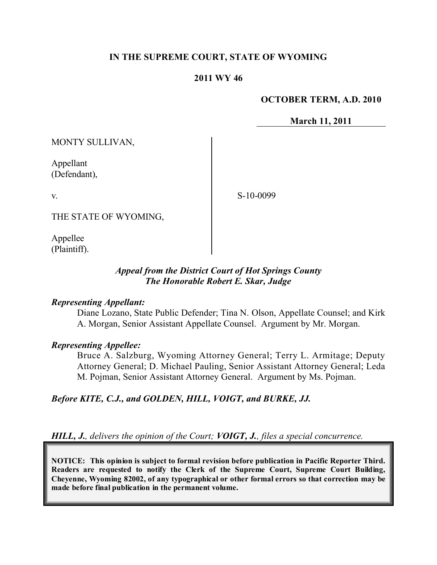### **IN THE SUPREME COURT, STATE OF WYOMING**

### **2011 WY 46**

#### **OCTOBER TERM, A.D. 2010**

**March 11, 2011**

MONTY SULLIVAN,

Appellant (Defendant),

v.

S-10-0099

THE STATE OF WYOMING,

Appellee (Plaintiff).

## *Appeal from the District Court of Hot Springs County The Honorable Robert E. Skar, Judge*

#### *Representing Appellant:*

Diane Lozano, State Public Defender; Tina N. Olson, Appellate Counsel; and Kirk A. Morgan, Senior Assistant Appellate Counsel. Argument by Mr. Morgan.

#### *Representing Appellee:*

Bruce A. Salzburg, Wyoming Attorney General; Terry L. Armitage; Deputy Attorney General; D. Michael Pauling, Senior Assistant Attorney General; Leda M. Pojman, Senior Assistant Attorney General. Argument by Ms. Pojman.

*Before KITE, C.J., and GOLDEN, HILL, VOIGT, and BURKE, JJ.*

*HILL, J., delivers the opinion of the Court; VOIGT, J., files a special concurrence.*

**NOTICE: This opinion is subject to formal revision before publication in Pacific Reporter Third. Readers are requested to notify the Clerk of the Supreme Court, Supreme Court Building, Cheyenne, Wyoming 82002, of any typographical or other formal errors so that correction may be made before final publication in the permanent volume.**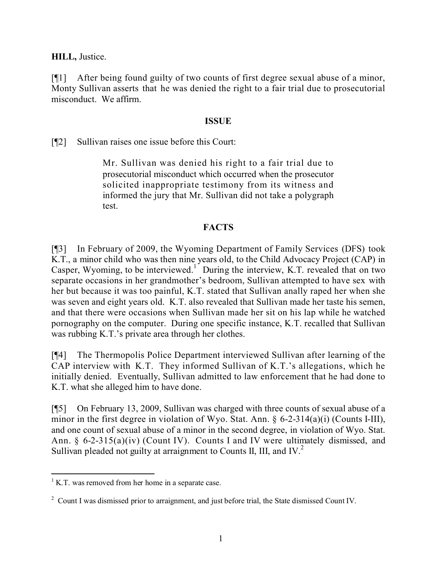**HILL,** Justice.

[¶1] After being found guilty of two counts of first degree sexual abuse of a minor, Monty Sullivan asserts that he was denied the right to a fair trial due to prosecutorial misconduct. We affirm.

## **ISSUE**

[¶2] Sullivan raises one issue before this Court:

Mr. Sullivan was denied his right to a fair trial due to prosecutorial misconduct which occurred when the prosecutor solicited inappropriate testimony from its witness and informed the jury that Mr. Sullivan did not take a polygraph test.

# **FACTS**

[¶3] In February of 2009, the Wyoming Department of Family Services (DFS) took K.T., a minor child who was then nine years old, to the Child Advocacy Project (CAP) in Casper, Wyoming, to be interviewed.<sup>1</sup> During the interview, K.T. revealed that on two separate occasions in her grandmother's bedroom, Sullivan attempted to have sex with her but because it was too painful, K.T. stated that Sullivan anally raped her when she was seven and eight years old. K.T. also revealed that Sullivan made her taste his semen, and that there were occasions when Sullivan made her sit on his lap while he watched pornography on the computer. During one specific instance, K.T. recalled that Sullivan was rubbing K.T.'s private area through her clothes.

[¶4] The Thermopolis Police Department interviewed Sullivan after learning of the CAP interview with K.T. They informed Sullivan of K.T.'s allegations, which he initially denied. Eventually, Sullivan admitted to law enforcement that he had done to K.T. what she alleged him to have done.

[¶5] On February 13, 2009, Sullivan was charged with three counts of sexual abuse of a minor in the first degree in violation of Wyo. Stat. Ann. § 6-2-314(a)(i) (Counts I-III), and one count of sexual abuse of a minor in the second degree, in violation of Wyo. Stat. Ann. § 6-2-315(a)(iv) (Count IV). Counts I and IV were ultimately dismissed, and Sullivan pleaded not guilty at arraignment to Counts II, III, and IV.<sup>2</sup>

 $\overline{a}$  $1$  K.T. was removed from her home in a separate case.

<sup>&</sup>lt;sup>2</sup> Count I was dismissed prior to arraignment, and just before trial, the State dismissed Count IV.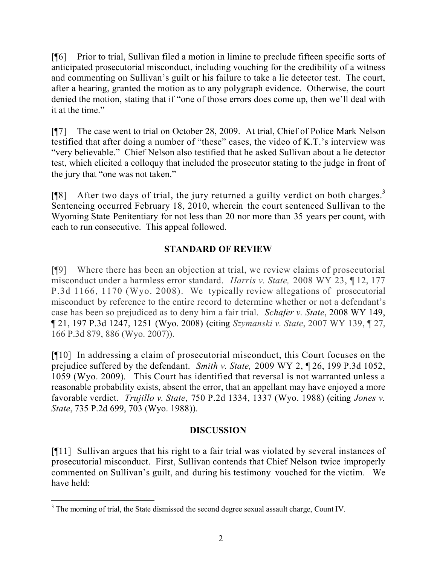[¶6] Prior to trial, Sullivan filed a motion in limine to preclude fifteen specific sorts of anticipated prosecutorial misconduct, including vouching for the credibility of a witness and commenting on Sullivan's guilt or his failure to take a lie detector test. The court, after a hearing, granted the motion as to any polygraph evidence. Otherwise, the court denied the motion, stating that if "one of those errors does come up, then we'll deal with it at the time."

[¶7] The case went to trial on October 28, 2009. At trial, Chief of Police Mark Nelson testified that after doing a number of "these" cases, the video of K.T.'s interview was "very believable." Chief Nelson also testified that he asked Sullivan about a lie detector test, which elicited a colloquy that included the prosecutor stating to the judge in front of the jury that "one was not taken."

[ $[$ [8] After two days of trial, the jury returned a guilty verdict on both charges.<sup>3</sup> Sentencing occurred February 18, 2010, wherein the court sentenced Sullivan to the Wyoming State Penitentiary for not less than 20 nor more than 35 years per count, with each to run consecutive. This appeal followed.

# **STANDARD OF REVIEW**

[¶9] Where there has been an objection at trial, we review claims of prosecutorial misconduct under a harmless error standard. *Harris v. State,* 2008 WY 23, ¶ 12, 177 P.3d 1166, 1170 (Wyo. 2008). We typically review allegations of prosecutorial misconduct by reference to the entire record to determine whether or not a defendant's case has been so prejudiced as to deny him a fair trial. *Schafer v. State*, 2008 WY 149, ¶ 21, 197 P.3d 1247, 1251 (Wyo. 2008) (citing *Szymanski v. State*, 2007 WY 139, ¶ 27, 166 P.3d 879, 886 (Wyo. 2007)).

[¶10] In addressing a claim of prosecutorial misconduct, this Court focuses on the prejudice suffered by the defendant. *Smith v. State,* 2009 WY 2, ¶ 26, 199 P.3d 1052, 1059 (Wyo. 2009). This Court has identified that reversal is not warranted unless a reasonable probability exists, absent the error, that an appellant may have enjoyed a more favorable verdict. *Trujillo v. State*, 750 P.2d 1334, 1337 (Wyo. 1988) (citing *Jones v. State*, 735 P.2d 699, 703 (Wyo. 1988)).

# **DISCUSSION**

[¶11] Sullivan argues that his right to a fair trial was violated by several instances of prosecutorial misconduct. First, Sullivan contends that Chief Nelson twice improperly commented on Sullivan's guilt, and during his testimony vouched for the victim. We have held:

 <sup>3</sup> The morning of trial, the State dismissed the second degree sexual assault charge, Count IV.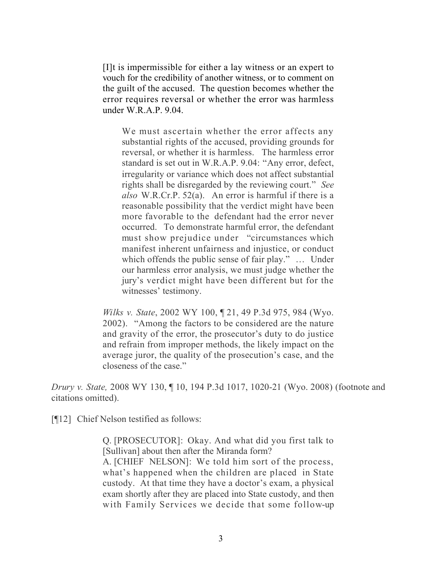[I]t is impermissible for either a lay witness or an expert to vouch for the credibility of another witness, or to comment on the guilt of the accused. The question becomes whether the error requires reversal or whether the error was harmless under W.R.A.P. 9.04.

We must ascertain whether the error affects any substantial rights of the accused, providing grounds for reversal, or whether it is harmless. The harmless error standard is set out in W.R.A.P. 9.04: "Any error, defect, irregularity or variance which does not affect substantial rights shall be disregarded by the reviewing court." *See also* W.R.Cr.P. 52(a). An error is harmful if there is a reasonable possibility that the verdict might have been more favorable to the defendant had the error never occurred. To demonstrate harmful error, the defendant must show prejudice under "circumstances which manifest inherent unfairness and injustice, or conduct which offends the public sense of fair play." … Under our harmless error analysis, we must judge whether the jury's verdict might have been different but for the witnesses' testimony.

*Wilks v. State*, 2002 WY 100, ¶ 21, 49 P.3d 975, 984 (Wyo. 2002). "Among the factors to be considered are the nature and gravity of the error, the prosecutor's duty to do justice and refrain from improper methods, the likely impact on the average juror, the quality of the prosecution's case, and the closeness of the case."

*Drury v. State,* 2008 WY 130, ¶ 10, 194 P.3d 1017, 1020-21 (Wyo. 2008) (footnote and citations omitted).

[¶12] Chief Nelson testified as follows:

Q. [PROSECUTOR]: Okay. And what did you first talk to [Sullivan] about then after the Miranda form?

A. [CHIEF NELSON]: We told him sort of the process, what's happened when the children are placed in State custody. At that time they have a doctor's exam, a physical exam shortly after they are placed into State custody, and then with Family Services we decide that some follow-up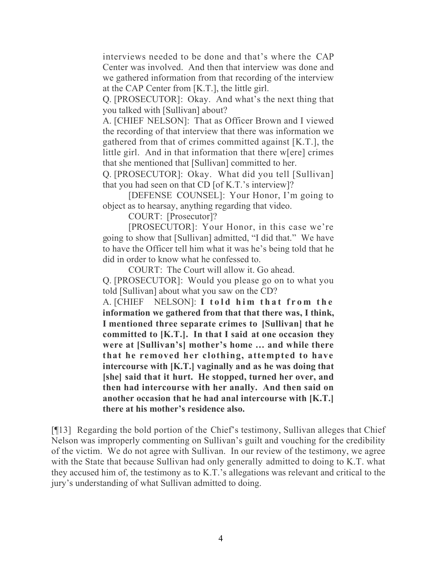interviews needed to be done and that's where the CAP Center was involved. And then that interview was done and we gathered information from that recording of the interview at the CAP Center from [K.T.], the little girl.

Q. [PROSECUTOR]: Okay. And what's the next thing that you talked with [Sullivan] about?

A. [CHIEF NELSON]: That as Officer Brown and I viewed the recording of that interview that there was information we gathered from that of crimes committed against [K.T.], the little girl. And in that information that there w[ere] crimes that she mentioned that [Sullivan] committed to her.

Q. [PROSECUTOR]: Okay. What did you tell [Sullivan] that you had seen on that CD [of K.T.'s interview]?

[DEFENSE COUNSEL]: Your Honor, I'm going to object as to hearsay, anything regarding that video.

COURT: [Prosecutor]?

[PROSECUTOR]: Your Honor, in this case we're going to show that [Sullivan] admitted, "I did that." We have to have the Officer tell him what it was he's being told that he did in order to know what he confessed to.

COURT: The Court will allow it. Go ahead.

Q. [PROSECUTOR]: Would you please go on to what you told [Sullivan] about what you saw on the CD?

A. [CHIEF NELSON]: **I told him that from the information we gathered from that that there was, I think, I mentioned three separate crimes to [Sullivan] that he committed to [K.T.]. In that I said at one occasion they were at [Sullivan's] mother's home … and while there that he removed her clothing, attempted to have intercourse with [K.T.] vaginally and as he was doing that [she] said that it hurt. He stopped, turned her over, and then had intercourse with her anally. And then said on another occasion that he had anal intercourse with [K.T.] there at his mother's residence also.**

[¶13] Regarding the bold portion of the Chief's testimony, Sullivan alleges that Chief Nelson was improperly commenting on Sullivan's guilt and vouching for the credibility of the victim. We do not agree with Sullivan. In our review of the testimony, we agree with the State that because Sullivan had only generally admitted to doing to K.T. what they accused him of, the testimony as to K.T.'s allegations was relevant and critical to the jury's understanding of what Sullivan admitted to doing.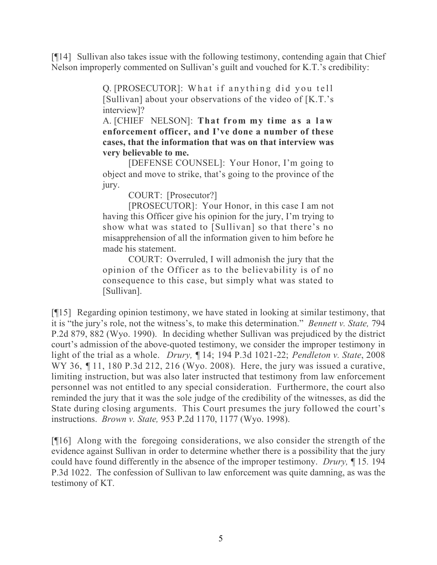[¶14] Sullivan also takes issue with the following testimony, contending again that Chief Nelson improperly commented on Sullivan's guilt and vouched for K.T.'s credibility:

> Q. [PROSECUTOR]: What if anything did you tell [Sullivan] about your observations of the video of [K.T.'s interview]?

> A. [CHIEF NELSON]: **That from my time as a law enforcement officer, and I've done a number of these cases, that the information that was on that interview was very believable to me.**

> [DEFENSE COUNSEL]: Your Honor, I'm going to object and move to strike, that's going to the province of the jury.

COURT: [Prosecutor?]

[PROSECUTOR]: Your Honor, in this case I am not having this Officer give his opinion for the jury, I'm trying to show what was stated to [Sullivan] so that there's no misapprehension of all the information given to him before he made his statement.

COURT: Overruled, I will admonish the jury that the opinion of the Officer as to the believability is of no consequence to this case, but simply what was stated to [Sullivan].

[¶15] Regarding opinion testimony, we have stated in looking at similar testimony, that it is "the jury's role, not the witness's, to make this determination." *Bennett v. State,* 794 P.2d 879, 882 (Wyo. 1990). In deciding whether Sullivan was prejudiced by the district court's admission of the above-quoted testimony, we consider the improper testimony in light of the trial as a whole. *Drury, ¶* 14; 194 P.3d 1021-22; *Pendleton v. State*, 2008 WY 36, 11, 180 P.3d 212, 216 (Wyo. 2008). Here, the jury was issued a curative, limiting instruction, but was also later instructed that testimony from law enforcement personnel was not entitled to any special consideration. Furthermore, the court also reminded the jury that it was the sole judge of the credibility of the witnesses, as did the State during closing arguments. This Court presumes the jury followed the court's instructions. *Brown v. State,* 953 P.2d 1170, 1177 (Wyo. 1998).

[¶16] Along with the foregoing considerations, we also consider the strength of the evidence against Sullivan in order to determine whether there is a possibility that the jury could have found differently in the absence of the improper testimony. *Drury,* ¶ 15*.* 194 P.3d 1022. The confession of Sullivan to law enforcement was quite damning, as was the testimony of KT.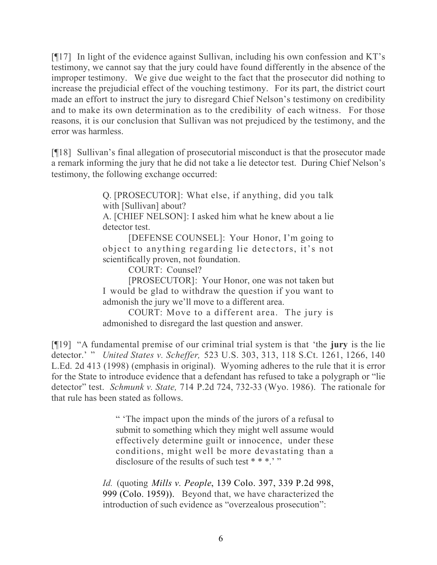[¶17] In light of the evidence against Sullivan, including his own confession and KT's testimony, we cannot say that the jury could have found differently in the absence of the improper testimony. We give due weight to the fact that the prosecutor did nothing to increase the prejudicial effect of the vouching testimony. For its part, the district court made an effort to instruct the jury to disregard Chief Nelson's testimony on credibility and to make its own determination as to the credibility of each witness. For those reasons, it is our conclusion that Sullivan was not prejudiced by the testimony, and the error was harmless.

[¶18] Sullivan's final allegation of prosecutorial misconduct is that the prosecutor made a remark informing the jury that he did not take a lie detector test. During Chief Nelson's testimony, the following exchange occurred:

> Q. [PROSECUTOR]: What else, if anything, did you talk with [Sullivan] about?

> A. [CHIEF NELSON]: I asked him what he knew about a lie detector test.

> [DEFENSE COUNSEL]: Your Honor, I'm going to object to anything regarding lie detectors, it's not scientifically proven, not foundation.

COURT: Counsel?

[PROSECUTOR]: Your Honor, one was not taken but I would be glad to withdraw the question if you want to admonish the jury we'll move to a different area.

COURT: Move to a different area. The jury is admonished to disregard the last question and answer.

[¶19] "A fundamental premise of our criminal trial system is that 'the **jury** is the lie detector.' " *United States v. Scheffer,* 523 U.S. 303, 313, 118 S.Ct. 1261, 1266, 140 L.Ed. 2d 413 (1998) (emphasis in original). Wyoming adheres to the rule that it is error for the State to introduce evidence that a defendant has refused to take a polygraph or "lie detector" test. *Schmunk v. State,* 714 P.2d 724, 732-33 (Wyo. 1986). The rationale for that rule has been stated as follows.

> " 'The impact upon the minds of the jurors of a refusal to submit to something which they might well assume would effectively determine guilt or innocence, under these conditions, might well be more devastating than a disclosure of the results of such test  $***$ ."

*Id.* (quoting *Mills v. People*, 139 Colo. 397, 339 P.2d 998, 999 (Colo. 1959)). Beyond that, we have characterized the introduction of such evidence as "overzealous prosecution":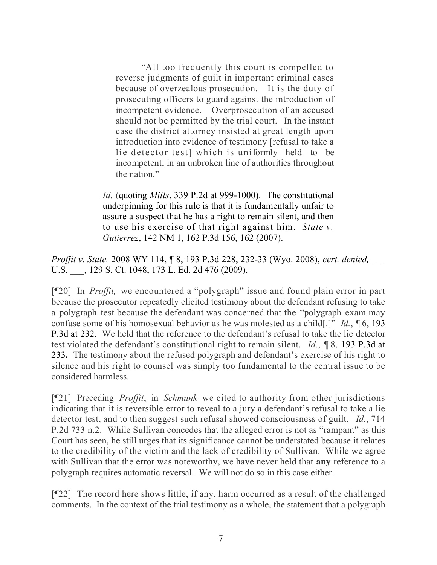"All too frequently this court is compelled to reverse judgments of guilt in important criminal cases because of overzealous prosecution. It is the duty of prosecuting officers to guard against the introduction of incompetent evidence. Overprosecution of an accused should not be permitted by the trial court. In the instant case the district attorney insisted at great length upon introduction into evidence of testimony [refusal to take a lie detector test] which is uniformly held to be incompetent, in an unbroken line of authorities throughout the nation."

*Id.* (quoting *Mills*, 339 P.2d at 999-1000). The constitutional underpinning for this rule is that it is fundamentally unfair to assure a suspect that he has a right to remain silent, and then to use his exercise of that right against him. *State v. Gutierrez*, 142 NM 1, 162 P.3d 156, 162 (2007).

*Proffit v. State,* 2008 WY 114, ¶ 8, 193 P.3d 228, 232-33 (Wyo. 2008)**,** *cert. denied,* \_\_\_ U.S. \_\_\_, 129 S. Ct. 1048, 173 L. Ed. 2d 476 (2009).

[¶20] In *Proffit,* we encountered a "polygraph" issue and found plain error in part because the prosecutor repeatedly elicited testimony about the defendant refusing to take a polygraph test because the defendant was concerned that the "polygraph exam may confuse some of his homosexual behavior as he was molested as a child[.]" *Id.*, ¶ 6, 193 P.3d at 232. We held that the reference to the defendant's refusal to take the lie detector test violated the defendant's constitutional right to remain silent. *Id.*, ¶ 8, 193 P.3d at 233**.** The testimony about the refused polygraph and defendant's exercise of his right to silence and his right to counsel was simply too fundamental to the central issue to be considered harmless.

[¶21] Preceding *Proffit*, in *Schmunk* we cited to authority from other jurisdictions indicating that it is reversible error to reveal to a jury a defendant's refusal to take a lie detector test, and to then suggest such refusal showed consciousness of guilt. *Id.*, 714 P.2d 733 n.2. While Sullivan concedes that the alleged error is not as "rampant" as this Court has seen, he still urges that its significance cannot be understated because it relates to the credibility of the victim and the lack of credibility of Sullivan. While we agree with Sullivan that the error was noteworthy, we have never held that **any** reference to a polygraph requires automatic reversal. We will not do so in this case either.

[¶22] The record here shows little, if any, harm occurred as a result of the challenged comments. In the context of the trial testimony as a whole, the statement that a polygraph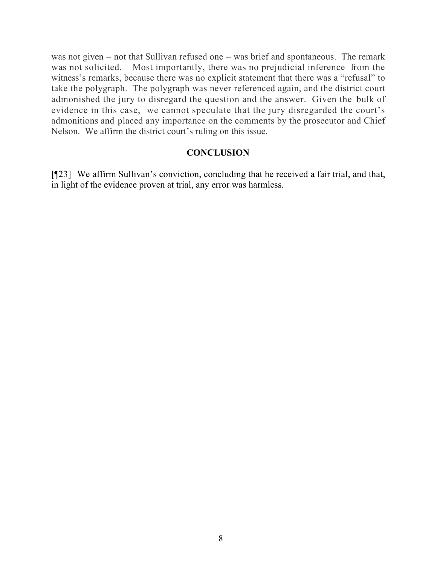was not given – not that Sullivan refused one – was brief and spontaneous. The remark was not solicited. Most importantly, there was no prejudicial inference from the witness's remarks, because there was no explicit statement that there was a "refusal" to take the polygraph. The polygraph was never referenced again, and the district court admonished the jury to disregard the question and the answer. Given the bulk of evidence in this case, we cannot speculate that the jury disregarded the court's admonitions and placed any importance on the comments by the prosecutor and Chief Nelson. We affirm the district court's ruling on this issue.

### **CONCLUSION**

[¶23] We affirm Sullivan's conviction, concluding that he received a fair trial, and that, in light of the evidence proven at trial, any error was harmless.